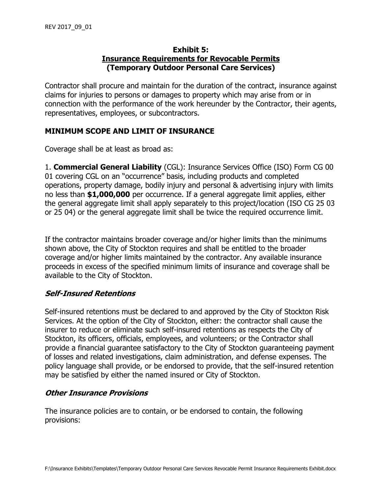### **Exhibit 5: Insurance Requirements for Revocable Permits (Temporary Outdoor Personal Care Services)**

Contractor shall procure and maintain for the duration of the contract, insurance against claims for injuries to persons or damages to property which may arise from or in connection with the performance of the work hereunder by the Contractor, their agents, representatives, employees, or subcontractors.

# **MINIMUM SCOPE AND LIMIT OF INSURANCE**

Coverage shall be at least as broad as:

1. **Commercial General Liability** (CGL): Insurance Services Office (ISO) Form CG 00 01 covering CGL on an "occurrence" basis, including products and completed operations, property damage, bodily injury and personal & advertising injury with limits no less than **\$1,000,000** per occurrence. If a general aggregate limit applies, either the general aggregate limit shall apply separately to this project/location (ISO CG 25 03 or 25 04) or the general aggregate limit shall be twice the required occurrence limit.

If the contractor maintains broader coverage and/or higher limits than the minimums shown above, the City of Stockton requires and shall be entitled to the broader coverage and/or higher limits maintained by the contractor. Any available insurance proceeds in excess of the specified minimum limits of insurance and coverage shall be available to the City of Stockton.

# **Self-Insured Retentions**

Self-insured retentions must be declared to and approved by the City of Stockton Risk Services. At the option of the City of Stockton, either: the contractor shall cause the insurer to reduce or eliminate such self-insured retentions as respects the City of Stockton, its officers, officials, employees, and volunteers; or the Contractor shall provide a financial guarantee satisfactory to the City of Stockton guaranteeing payment of losses and related investigations, claim administration, and defense expenses. The policy language shall provide, or be endorsed to provide, that the self-insured retention may be satisfied by either the named insured or City of Stockton.

# **Other Insurance Provisions**

The insurance policies are to contain, or be endorsed to contain, the following provisions: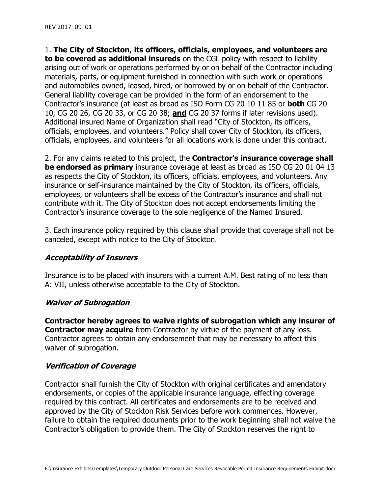1. **The City of Stockton, its officers, officials, employees, and volunteers are to be covered as additional insureds** on the CGL policy with respect to liability arising out of work or operations performed by or on behalf of the Contractor including materials, parts, or equipment furnished in connection with such work or operations and automobiles owned, leased, hired, or borrowed by or on behalf of the Contractor. General liability coverage can be provided in the form of an endorsement to the Contractor's insurance (at least as broad as ISO Form CG 20 10 11 85 or **both** CG 20 10, CG 20 26, CG 20 33, or CG 20 38; **and** CG 20 37 forms if later revisions used). Additional insured Name of Organization shall read "City of Stockton, its officers, officials, employees, and volunteers." Policy shall cover City of Stockton, its officers, officials, employees, and volunteers for all locations work is done under this contract.

2. For any claims related to this project, the **Contractor's insurance coverage shall be endorsed as primary** insurance coverage at least as broad as ISO CG 20 01 04 13 as respects the City of Stockton, its officers, officials, employees, and volunteers. Any insurance or self-insurance maintained by the City of Stockton, its officers, officials, employees, or volunteers shall be excess of the Contractor's insurance and shall not contribute with it. The City of Stockton does not accept endorsements limiting the Contractor's insurance coverage to the sole negligence of the Named Insured.

3. Each insurance policy required by this clause shall provide that coverage shall not be canceled, except with notice to the City of Stockton.

### **Acceptability of Insurers**

Insurance is to be placed with insurers with a current A.M. Best rating of no less than A: VII, unless otherwise acceptable to the City of Stockton.

### **Waiver of Subrogation**

**Contractor hereby agrees to waive rights of subrogation which any insurer of Contractor may acquire** from Contractor by virtue of the payment of any loss. Contractor agrees to obtain any endorsement that may be necessary to affect this waiver of subrogation.

# **Verification of Coverage**

Contractor shall furnish the City of Stockton with original certificates and amendatory endorsements, or copies of the applicable insurance language, effecting coverage required by this contract. All certificates and endorsements are to be received and approved by the City of Stockton Risk Services before work commences. However, failure to obtain the required documents prior to the work beginning shall not waive the Contractor's obligation to provide them. The City of Stockton reserves the right to